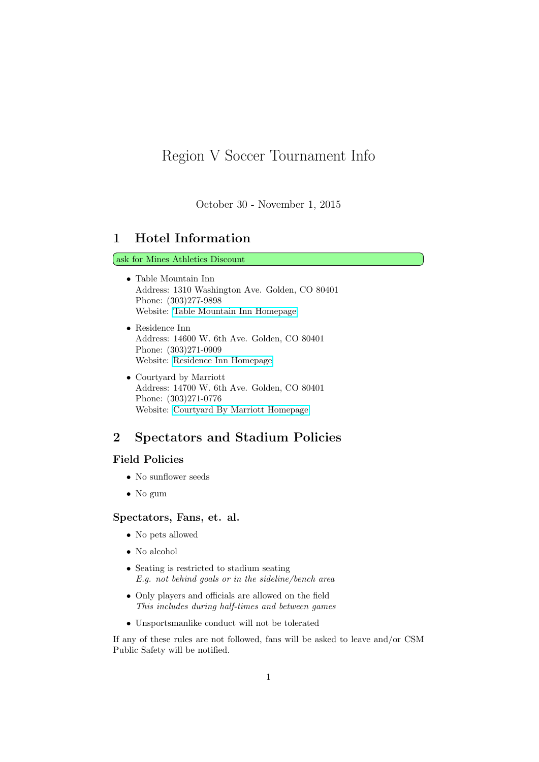# Region V Soccer Tournament Info

October 30 - November 1, 2015

### 1 Hotel Information

#### ask for Mines Athletics Discount

- Table Mountain Inn Address: 1310 Washington Ave. Golden, CO 80401 Phone: (303)277-9898 Website: [Table Mountain Inn Homepage](http://www.tablemountaininn.com/)
- Residence Inn Address: 14600 W. 6th Ave. Golden, CO 80401 Phone: (303)271-0909 Website: [Residence Inn Homepage](http://www.marriott.com/hotels/travel/dengo-residence-inn-denver-west-golden/)
- Courtyard by Marriott Address: 14700 W. 6th Ave. Golden, CO 80401 Phone: (303)271-0776 Website: [Courtyard By Marriott Homepage](http://www.marriott.com/hotels/travel/dengl-courtyard-denver-west-golden/)

### 2 Spectators and Stadium Policies

#### Field Policies

- No sunflower seeds
- No gum

#### Spectators, Fans, et. al.

- No pets allowed
- No alcohol
- Seating is restricted to stadium seating E.g. not behind goals or in the sideline/bench area
- Only players and officials are allowed on the field This includes during half-times and between games
- Unsportsmanlike conduct will not be tolerated

If any of these rules are not followed, fans will be asked to leave and/or CSM Public Safety will be notified.